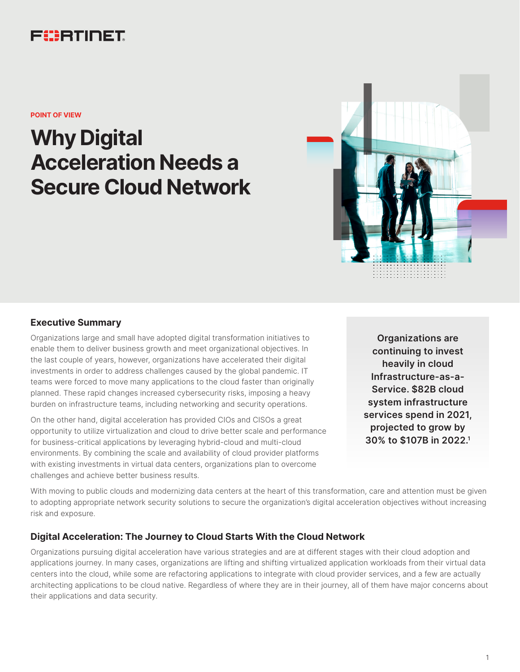# FURTINET

**POINT OF VIEW**

# **Why Digital Acceleration Needs a Secure Cloud Network**



# **Executive Summary**

Organizations large and small have adopted digital transformation initiatives to enable them to deliver business growth and meet organizational objectives. In the last couple of years, however, organizations have accelerated their digital investments in order to address challenges caused by the global pandemic. IT teams were forced to move many applications to the cloud faster than originally planned. These rapid changes increased cybersecurity risks, imposing a heavy burden on infrastructure teams, including networking and security operations.

On the other hand, digital acceleration has provided CIOs and CISOs a great opportunity to utilize virtualization and cloud to drive better scale and performance for business-critical applications by leveraging hybrid-cloud and multi-cloud environments. By combining the scale and availability of cloud provider platforms with existing investments in virtual data centers, organizations plan to overcome challenges and achieve better business results.

**Organizations are continuing to invest heavily in cloud Infrastructure-as-a-Service. \$82B cloud system infrastructure services spend in 2021, projected to grow by 30% to \$107B in 2022.1**

With moving to public clouds and modernizing data centers at the heart of this transformation, care and attention must be given to adopting appropriate network security solutions to secure the organization's digital acceleration objectives without increasing risk and exposure.

# **Digital Acceleration: The Journey to Cloud Starts With the Cloud Network**

Organizations pursuing digital acceleration have various strategies and are at different stages with their cloud adoption and applications journey. In many cases, organizations are lifting and shifting virtualized application workloads from their virtual data centers into the cloud, while some are refactoring applications to integrate with cloud provider services, and a few are actually architecting applications to be cloud native. Regardless of where they are in their journey, all of them have major concerns about their applications and data security.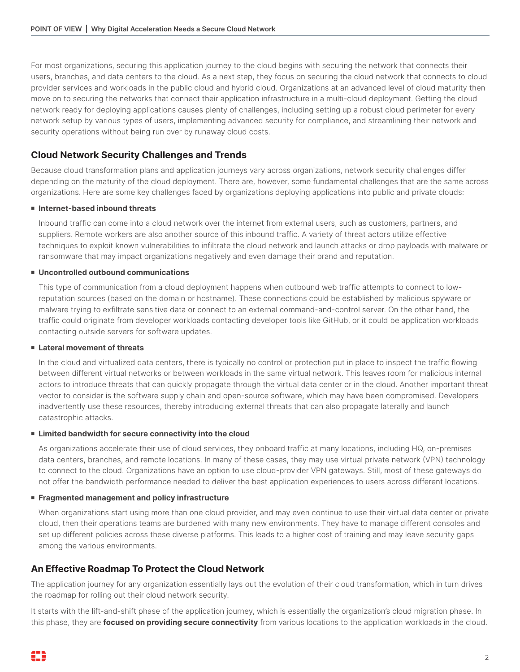For most organizations, securing this application journey to the cloud begins with securing the network that connects their users, branches, and data centers to the cloud. As a next step, they focus on securing the cloud network that connects to cloud provider services and workloads in the public cloud and hybrid cloud. Organizations at an advanced level of cloud maturity then move on to securing the networks that connect their application infrastructure in a multi-cloud deployment. Getting the cloud network ready for deploying applications causes plenty of challenges, including setting up a robust cloud perimeter for every network setup by various types of users, implementing advanced security for compliance, and streamlining their network and security operations without being run over by runaway cloud costs.

# **Cloud Network Security Challenges and Trends**

Because cloud transformation plans and application journeys vary across organizations, network security challenges differ depending on the maturity of the cloud deployment. There are, however, some fundamental challenges that are the same across organizations. Here are some key challenges faced by organizations deploying applications into public and private clouds:

#### **n** Internet-based inbound threats

Inbound traffic can come into a cloud network over the internet from external users, such as customers, partners, and suppliers. Remote workers are also another source of this inbound traffic. A variety of threat actors utilize effective techniques to exploit known vulnerabilities to infiltrate the cloud network and launch attacks or drop payloads with malware or ransomware that may impact organizations negatively and even damage their brand and reputation.

#### **E** Uncontrolled outbound communications

This type of communication from a cloud deployment happens when outbound web traffic attempts to connect to lowreputation sources (based on the domain or hostname). These connections could be established by malicious spyware or malware trying to exfiltrate sensitive data or connect to an external command-and-control server. On the other hand, the traffic could originate from developer workloads contacting developer tools like GitHub, or it could be application workloads contacting outside servers for software updates.

#### **Example 1 Lateral movement of threats**

In the cloud and virtualized data centers, there is typically no control or protection put in place to inspect the traffic flowing between different virtual networks or between workloads in the same virtual network. This leaves room for malicious internal actors to introduce threats that can quickly propagate through the virtual data center or in the cloud. Another important threat vector to consider is the software supply chain and open-source software, which may have been compromised. Developers inadvertently use these resources, thereby introducing external threats that can also propagate laterally and launch catastrophic attacks.

#### **Example 3 Limited bandwidth for secure connectivity into the cloud**

As organizations accelerate their use of cloud services, they onboard traffic at many locations, including HQ, on-premises data centers, branches, and remote locations. In many of these cases, they may use virtual private network (VPN) technology to connect to the cloud. Organizations have an option to use cloud-provider VPN gateways. Still, most of these gateways do not offer the bandwidth performance needed to deliver the best application experiences to users across different locations.

#### **Figure 1** Fragmented management and policy infrastructure

When organizations start using more than one cloud provider, and may even continue to use their virtual data center or private cloud, then their operations teams are burdened with many new environments. They have to manage different consoles and set up different policies across these diverse platforms. This leads to a higher cost of training and may leave security gaps among the various environments.

## **An Effective Roadmap To Protect the Cloud Network**

The application journey for any organization essentially lays out the evolution of their cloud transformation, which in turn drives the roadmap for rolling out their cloud network security.

It starts with the lift-and-shift phase of the application journey, which is essentially the organization's cloud migration phase. In this phase, they are **focused on providing secure connectivity** from various locations to the application workloads in the cloud.